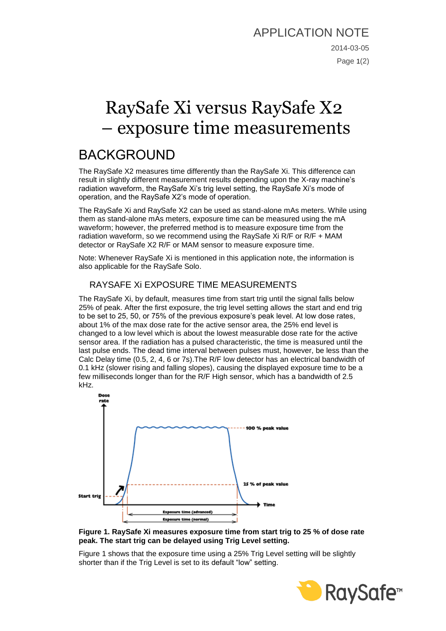# RaySafe Xi versus RaySafe X2 – exposure time measurements

## BACKGROUND

The RaySafe X2 measures time differently than the RaySafe Xi. This difference can result in slightly different measurement results depending upon the X-ray machine's radiation waveform, the RaySafe Xi's trig level setting, the RaySafe Xi's mode of operation, and the RaySafe X2's mode of operation.

The RaySafe Xi and RaySafe X2 can be used as stand-alone mAs meters. While using them as stand-alone mAs meters, exposure time can be measured using the mA waveform; however, the preferred method is to measure exposure time from the radiation waveform, so we recommend using the RaySafe Xi R/F or R/F + MAM detector or RaySafe X2 R/F or MAM sensor to measure exposure time.

Note: Whenever RaySafe Xi is mentioned in this application note, the information is also applicable for the RaySafe Solo.

### RAYSAFE Xi EXPOSURE TIME MEASUREMENTS

The RaySafe Xi, by default, measures time from start trig until the signal falls below 25% of peak. After the first exposure, the trig level setting allows the start and end trig to be set to 25, 50, or 75% of the previous exposure's peak level. At low dose rates, about 1% of the max dose rate for the active sensor area, the 25% end level is changed to a low level which is about the lowest measurable dose rate for the active sensor area. If the radiation has a pulsed characteristic, the time is measured until the last pulse ends. The dead time interval between pulses must, however, be less than the Calc Delay time (0.5, 2, 4, 6 or 7s).The R/F low detector has an electrical bandwidth of 0.1 kHz (slower rising and falling slopes), causing the displayed exposure time to be a few milliseconds longer than for the R/F High sensor, which has a bandwidth of 2.5 kHz.



#### <span id="page-0-0"></span>**Figure 1. RaySafe Xi measures exposure time from start trig to 25 % of dose rate peak. The start trig can be delayed using Trig Level setting.**

[Figure 1](#page-0-0) shows that the exposure time using a 25% Trig Level setting will be slightly shorter than if the Trig Level is set to its default "low" setting.